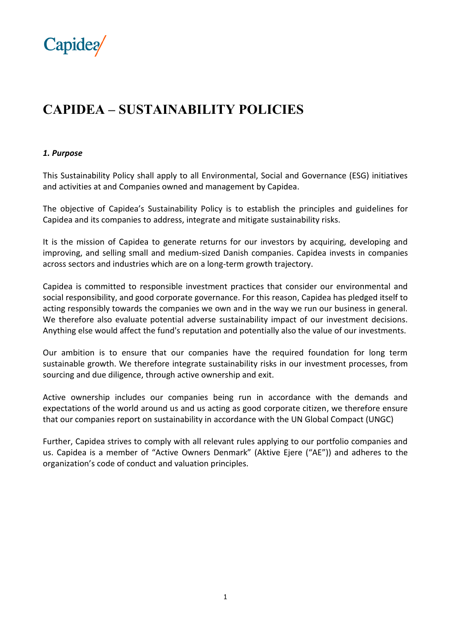

# **CAPIDEA – SUSTAINABILITY POLICIES**

## *1. Purpose*

This Sustainability Policy shall apply to all Environmental, Social and Governance (ESG) initiatives and activities at and Companies owned and management by Capidea.

The objective of Capidea's Sustainability Policy is to establish the principles and guidelines for Capidea and its companies to address, integrate and mitigate sustainability risks.

It is the mission of Capidea to generate returns for our investors by acquiring, developing and improving, and selling small and medium-sized Danish companies. Capidea invests in companies across sectors and industries which are on a long-term growth trajectory.

Capidea is committed to responsible investment practices that consider our environmental and social responsibility, and good corporate governance. For this reason, Capidea has pledged itself to acting responsibly towards the companies we own and in the way we run our business in general. We therefore also evaluate potential adverse sustainability impact of our investment decisions. Anything else would affect the fund's reputation and potentially also the value of our investments.

Our ambition is to ensure that our companies have the required foundation for long term sustainable growth. We therefore integrate sustainability risks in our investment processes, from sourcing and due diligence, through active ownership and exit.

Active ownership includes our companies being run in accordance with the demands and expectations of the world around us and us acting as good corporate citizen, we therefore ensure that our companies report on sustainability in accordance with the UN Global Compact (UNGC)

Further, Capidea strives to comply with all relevant rules applying to our portfolio companies and us. Capidea is a member of "Active Owners Denmark" (Aktive Ejere ("AE")) and adheres to the organization's code of conduct and valuation principles.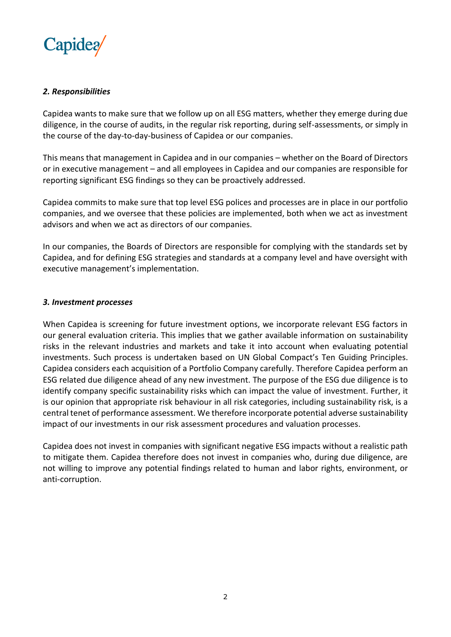

## *2. Responsibilities*

Capidea wants to make sure that we follow up on all ESG matters, whether they emerge during due diligence, in the course of audits, in the regular risk reporting, during self-assessments, or simply in the course of the day-to-day-business of Capidea or our companies.

This means that management in Capidea and in our companies – whether on the Board of Directors or in executive management – and all employees in Capidea and our companies are responsible for reporting significant ESG findings so they can be proactively addressed.

Capidea commits to make sure that top level ESG polices and processes are in place in our portfolio companies, and we oversee that these policies are implemented, both when we act as investment advisors and when we act as directors of our companies.

In our companies, the Boards of Directors are responsible for complying with the standards set by Capidea, and for defining ESG strategies and standards at a company level and have oversight with executive management's implementation.

## *3. Investment processes*

When Capidea is screening for future investment options, we incorporate relevant ESG factors in our general evaluation criteria. This implies that we gather available information on sustainability risks in the relevant industries and markets and take it into account when evaluating potential investments. Such process is undertaken based on UN Global Compact's Ten Guiding Principles. Capidea considers each acquisition of a Portfolio Company carefully. Therefore Capidea perform an ESG related due diligence ahead of any new investment. The purpose of the ESG due diligence is to identify company specific sustainability risks which can impact the value of investment. Further, it is our opinion that appropriate risk behaviour in all risk categories, including sustainability risk, is a central tenet of performance assessment. We therefore incorporate potential adverse sustainability impact of our investments in our risk assessment procedures and valuation processes.

Capidea does not invest in companies with significant negative ESG impacts without a realistic path to mitigate them. Capidea therefore does not invest in companies who, during due diligence, are not willing to improve any potential findings related to human and labor rights, environment, or anti-corruption.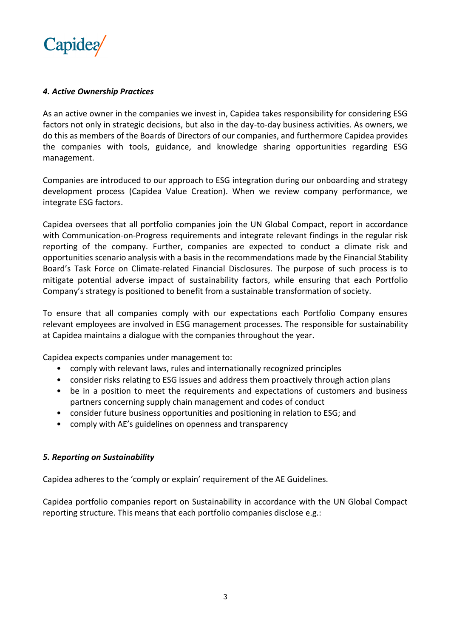

## *4. Active Ownership Practices*

As an active owner in the companies we invest in, Capidea takes responsibility for considering ESG factors not only in strategic decisions, but also in the day-to-day business activities. As owners, we do this as members of the Boards of Directors of our companies, and furthermore Capidea provides the companies with tools, guidance, and knowledge sharing opportunities regarding ESG management.

Companies are introduced to our approach to ESG integration during our onboarding and strategy development process (Capidea Value Creation). When we review company performance, we integrate ESG factors.

Capidea oversees that all portfolio companies join the UN Global Compact, report in accordance with Communication-on-Progress requirements and integrate relevant findings in the regular risk reporting of the company. Further, companies are expected to conduct a climate risk and opportunities scenario analysis with a basis in the recommendations made by the Financial Stability Board's Task Force on Climate-related Financial Disclosures. The purpose of such process is to mitigate potential adverse impact of sustainability factors, while ensuring that each Portfolio Company's strategy is positioned to benefit from a sustainable transformation of society.

To ensure that all companies comply with our expectations each Portfolio Company ensures relevant employees are involved in ESG management processes. The responsible for sustainability at Capidea maintains a dialogue with the companies throughout the year.

Capidea expects companies under management to:

- comply with relevant laws, rules and internationally recognized principles
- consider risks relating to ESG issues and address them proactively through action plans
- be in a position to meet the requirements and expectations of customers and business partners concerning supply chain management and codes of conduct
- consider future business opportunities and positioning in relation to ESG; and
- comply with AE's guidelines on openness and transparency

## *5. Reporting on Sustainability*

Capidea adheres to the 'comply or explain' requirement of the AE Guidelines.

Capidea portfolio companies report on Sustainability in accordance with the UN Global Compact reporting structure. This means that each portfolio companies disclose e.g.: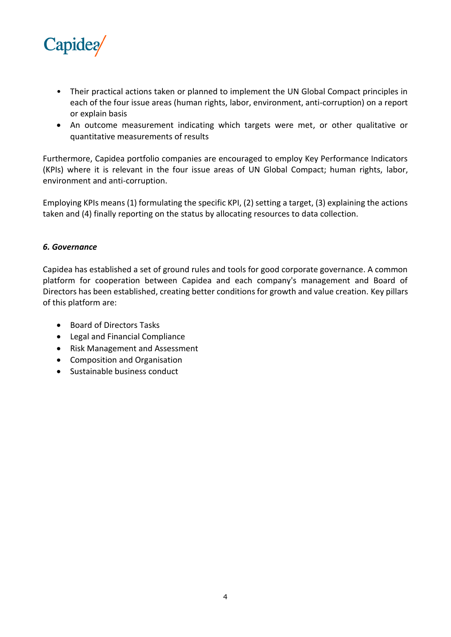

- Their practical actions taken or planned to implement the UN Global Compact principles in each of the four issue areas (human rights, labor, environment, anti-corruption) on a report or explain basis
- An outcome measurement indicating which targets were met, or other qualitative or quantitative measurements of results

Furthermore, Capidea portfolio companies are encouraged to employ Key Performance Indicators (KPIs) where it is relevant in the four issue areas of UN Global Compact; human rights, labor, environment and anti-corruption.

Employing KPIs means (1) formulating the specific KPI, (2) setting a target, (3) explaining the actions taken and (4) finally reporting on the status by allocating resources to data collection.

## *6. Governance*

Capidea has established a set of ground rules and tools for good corporate governance. A common platform for cooperation between Capidea and each company's management and Board of Directors has been established, creating better conditions for growth and value creation. Key pillars of this platform are:

- Board of Directors Tasks
- Legal and Financial Compliance
- Risk Management and Assessment
- Composition and Organisation
- Sustainable business conduct